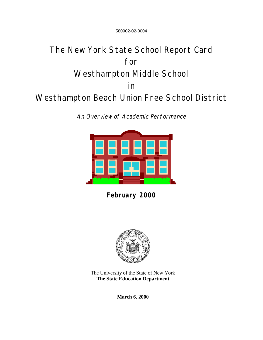580902-02-0004

# The New York State School Report Card for Westhampton Middle School in Westhampton Beach Union Free School District

An Overview of Academic Performance



**February 2000**



The University of the State of New York **The State Education Department**

**March 6, 2000**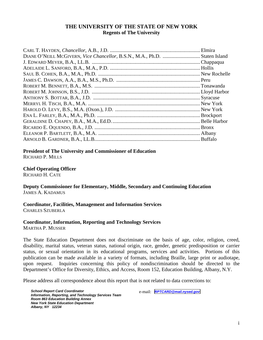### **THE UNIVERSITY OF THE STATE OF NEW YORK Regents of The University**

| DIANE O'NEILL MCGIVERN, Vice Chancellor, B.S.N., M.A., Ph.D.  Staten Island |  |
|-----------------------------------------------------------------------------|--|
|                                                                             |  |
|                                                                             |  |
|                                                                             |  |
|                                                                             |  |
|                                                                             |  |
|                                                                             |  |
|                                                                             |  |
|                                                                             |  |
|                                                                             |  |
|                                                                             |  |
|                                                                             |  |
|                                                                             |  |
|                                                                             |  |
|                                                                             |  |

**President of The University and Commissioner of Education** RICHARD P. MILLS

**Chief Operating Officer** RICHARD H. CATE

**Deputy Commissioner for Elementary, Middle, Secondary and Continuing Education**

JAMES A. KADAMUS

### **Coordinator, Facilities, Management and Information Services**

CHARLES SZUBERLA

### **Coordinator, Information, Reporting and Technology Services**

MARTHA P. MUSSER

The State Education Department does not discriminate on the basis of age, color, religion, creed, disability, marital status, veteran status, national origin, race, gender, genetic predisposition or carrier status, or sexual orientation in its educational programs, services and activities. Portions of this publication can be made available in a variety of formats, including Braille, large print or audiotape, upon request. Inquiries concerning this policy of nondiscrimination should be directed to the Department's Office for Diversity, Ethics, and Access, Room 152, Education Building, Albany, N.Y.

Please address all correspondence about this report that is not related to data corrections to:

*School Report Card Coordinator Information, Reporting, and Technology Services Team Room 863 Education Building Annex New York State Education Department Albany, NY 12234*

e-mail: *[RPTCARD@mail.nysed.gov](mailto:RPTCARD@mail.nysed.gov)*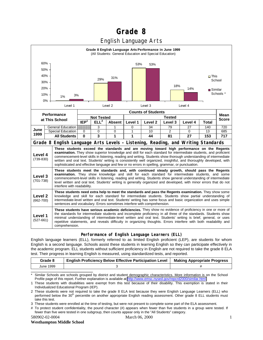## **Grade 8**

## English Language Arts



#### **Performance of English Language Learners (ELL)**

English language learners (ELL), formerly referred to as limited English proficient (LEP), are students for whom English is a second language. Schools assist these students in learning English so they can participate effectively in the academic program. ELL students without sufficient proficiency in English are not required to take the grade 8 ELA test. Their progress in learning English is measured, using standardized tests, and reported.

| Grade 8   | <b>English Proficiency Below Effective Participation Level</b> | <b>Making Appropriate Progress</b> |
|-----------|----------------------------------------------------------------|------------------------------------|
| June 1999 |                                                                |                                    |

Similar Schools are schools grouped by district and student demographic characteristics. More information is on the School Profile page of this report. Further explanation is available at [http://www.emsc.nysed.gov/repcrd2000/similar.html.](http://www.emsc.nysed.gov/repcrd2000/similar.html)

1 These students with disabilities were exempt from this test because of their disability. This exemption is stated in their Individualized Educational Program (IEP).

580902-02-0004 March 06, 2000

#### **Westhampton Middle School**

<sup>2</sup> These students were not required to take the grade 8 ELA test because they were English Language Learners (ELL) who performed below the 30<sup>th</sup> percentile on another appropriate English reading assessment. Other grade 8 ELL students must take this test.

<sup>3</sup> These students were enrolled at the time of testing, but were not present to complete some part of the ELA assessment.

<sup>#</sup> To protect student confidentiality, the pound character (#) appears when fewer than five students in a group were tested. If fewer than five were tested in one subgroup, then counts appear only in the "All Students" category.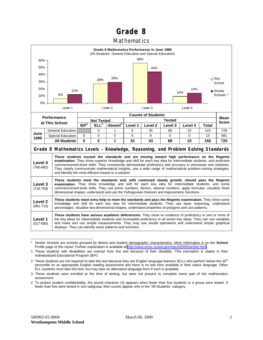## **Grade 8**

### Mathematics



Similar Schools are schools grouped by district and student demographic characteristics. More information is on the School Profile page of this report. Further explanation is available at<http://www.emsc.nysed.gov/repcrd2000/similar.html>

<sup>1</sup> These students with disabilities are exempt from this test because of their disability. This exemption is stated in their Individualized Educational Program (IEP).

<sup>2</sup> These students are not required to take this test because they are English language learners (ELL) who perform below the 30<sup>th</sup> percentile on an appropriate English reading assessment and there is no test form available in their native language. Other ELL students must take this test, but may take an alternative language form if such is available.

<sup>3</sup> These students were enrolled at the time of testing, but were not present to complete some part of the mathematics assessment.

<sup>#</sup> To protect student confidentiality, the pound character (#) appears when fewer than five students in a group were tested. If fewer than five were tested in one subgroup, then counts appear only in the "All Students" category.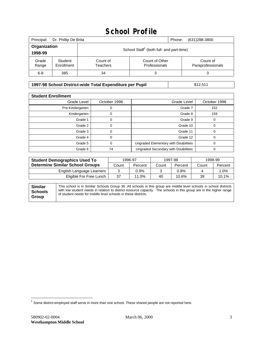## **School Profile**

| Principal:              | Dr. Phillip De Brita  |                                                                                          | Phone: | (631)288-3800 |
|-------------------------|-----------------------|------------------------------------------------------------------------------------------|--------|---------------|
| Organization<br>1998-99 |                       | School Staff <sup>1</sup> (both full- and part-time)                                     |        |               |
| Grade<br>Range          | Student<br>Enrollment | Count of Other<br>Count of<br>Count of<br>Paraprofessionals<br>Professionals<br>Teachers |        |               |
| $6 - 8$                 | 385                   | 34                                                                                       | 3      |               |

### **1997-98 School District-wide Total Expenditure per Pupil** \$12,511

| <b>Student Enrollment</b> |              |                                       |              |  |  |  |
|---------------------------|--------------|---------------------------------------|--------------|--|--|--|
| Grade Level               | October 1998 | Grade Level                           | October 1998 |  |  |  |
| Pre-Kindergarten          |              | Grade 7                               | 152          |  |  |  |
| Kindergarten              | 0            | Grade 8                               | 159          |  |  |  |
| Grade 1                   |              | Grade 9                               | 0            |  |  |  |
| Grade 2                   |              | Grade 10                              | 0            |  |  |  |
| Grade 3                   | ი            | Grade 11                              | 0            |  |  |  |
| Grade 4                   | U            | Grade 12                              | 0            |  |  |  |
| Grade 5                   |              | Ungraded Elementary with Disabilities | 0            |  |  |  |
| Grade 6                   | 74           | Ungraded Secondary with Disabilities  | 0            |  |  |  |

| <b>Student Demographics Used To</b>    | 1996-97 |         | 1997-98 |         | 1998-99 |         |
|----------------------------------------|---------|---------|---------|---------|---------|---------|
| <b>Determine Similar School Groups</b> | Count   | Percent | Count   | Percent | Count   | Percent |
| English Language Learners              |         | $0.9\%$ |         | 0.8%    |         | 0%. ا   |
| Eligible For Free Lunch                | 37      | 11.0%   | 40      | 10.6%   | 39      | 10.1%   |

| <b>Similar</b><br><b>Schools</b> | This school is in Similar Schools Group 36. All schools in this group are middle level schools in school districts<br>with low student needs in relation to district resource capacity. The schools in this group are in the higher range |
|----------------------------------|-------------------------------------------------------------------------------------------------------------------------------------------------------------------------------------------------------------------------------------------|
|                                  | of student needs for middle level schools in these districts.                                                                                                                                                                             |
| Group                            |                                                                                                                                                                                                                                           |

 $\overline{a}$ 

 $^1$  Some district-employed staff serve in more than one school. These shared people are not reported here.